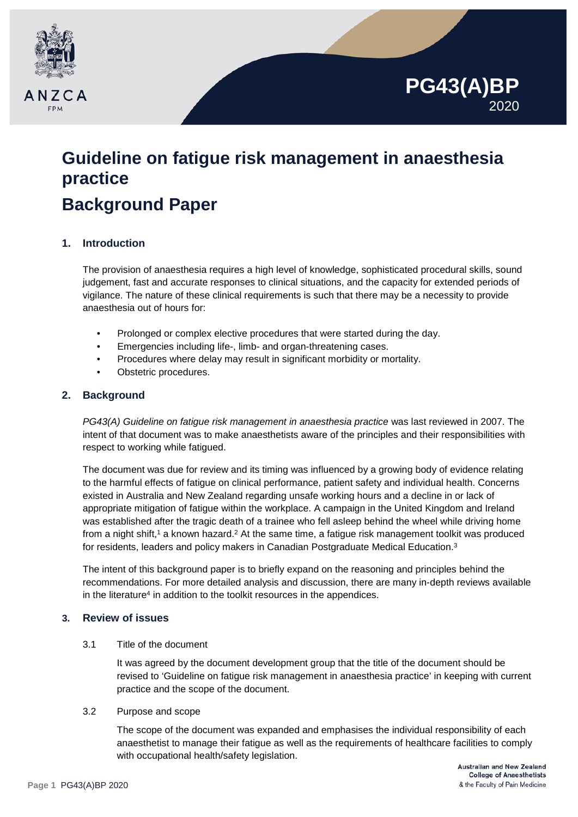

# **Guideline on fatigue risk management in anaesthesia practice Background Paper**

#### **1. Introduction**

The provision of anaesthesia requires a high level of knowledge, sophisticated procedural skills, sound judgement, fast and accurate responses to clinical situations, and the capacity for extended periods of vigilance. The nature of these clinical requirements is such that there may be a necessity to provide anaesthesia out of hours for:

- Prolonged or complex elective procedures that were started during the day.
- Emergencies including life-, limb- and organ-threatening cases.
- Procedures where delay may result in significant morbidity or mortality.
- Obstetric procedures.

#### **2. Background**

*PG43(A) Guideline on fatigue risk management in anaesthesia practice* was last reviewed in 2007. The intent of that document was to make anaesthetists aware of the principles and their responsibilities with respect to working while fatigued.

The document was due for review and its timing was influenced by a growing body of evidence relating to the harmful effects of fatigue on clinical performance, patient safety and individual health. Concerns existed in Australia and New Zealand regarding unsafe working hours and a decline in or lack of appropriate mitigation of fatigue within the workplace. A campaign in the United Kingdom and Ireland was established after the tragic death of a trainee who fell asleep behind the wheel while driving home from a night shift,<sup>1</sup> a known hazard.<sup>2</sup> At the same time, a fatigue risk management toolkit was produced for residents, leaders and policy makers in Canadian Postgraduate Medical Education. 3

The intent of this background paper is to briefly expand on the reasoning and principles behind the recommendations. For more detailed analysis and discussion, there are many in-depth reviews available in the literature<sup>4</sup> in addition to the toolkit resources in the appendices.

#### **3. Review of issues**

#### 3.1 Title of the document

It was agreed by the document development group that the title of the document should be revised to 'Guideline on fatigue risk management in anaesthesia practice' in keeping with current practice and the scope of the document.

#### 3.2 Purpose and scope

The scope of the document was expanded and emphasises the individual responsibility of each anaesthetist to manage their fatigue as well as the requirements of healthcare facilities to comply with occupational health/safety legislation.

**PG43(A)BP**

2020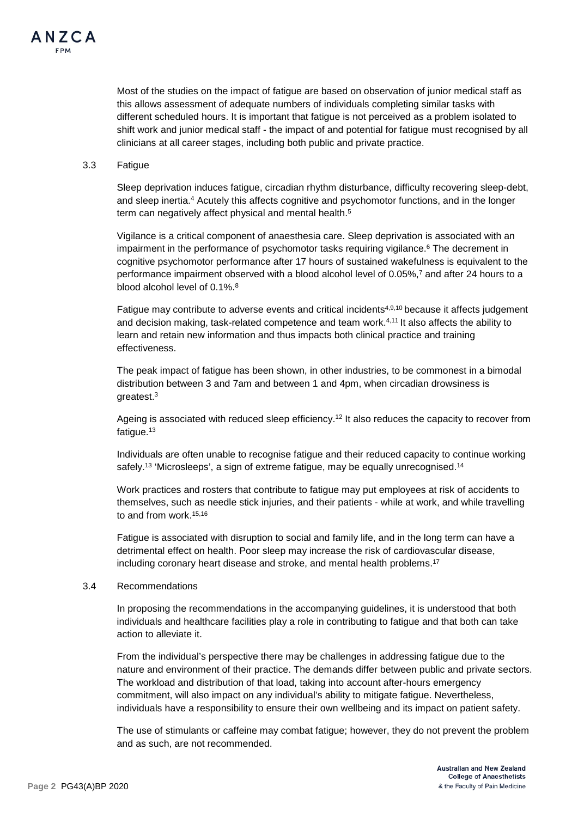

Most of the studies on the impact of fatigue are based on observation of junior medical staff as this allows assessment of adequate numbers of individuals completing similar tasks with different scheduled hours. It is important that fatigue is not perceived as a problem isolated to shift work and junior medical staff - the impact of and potential for fatigue must recognised by all clinicians at all career stages, including both public and private practice.

#### 3.3 Fatigue

Sleep deprivation induces fatigue, circadian rhythm disturbance, difficulty recovering sleep-debt, and sleep inertia.4 Acutely this affects cognitive and psychomotor functions, and in the longer term can negatively affect physical and mental health.<sup>5</sup>

Vigilance is a critical component of anaesthesia care. Sleep deprivation is associated with an impairment in the performance of psychomotor tasks requiring vigilance.<sup>6</sup> The decrement in cognitive psychomotor performance after 17 hours of sustained wakefulness is equivalent to the performance impairment observed with a blood alcohol level of 0.05%,<sup>7</sup> and after 24 hours to a blood alcohol level of 0.1%.<sup>8</sup>

Fatigue may contribute to adverse events and critical incidents<sup>4,9,10</sup> because it affects judgement and decision making, task-related competence and team work.<sup>4,11</sup> It also affects the ability to learn and retain new information and thus impacts both clinical practice and training effectiveness.

The peak impact of fatigue has been shown, in other industries, to be commonest in a bimodal distribution between 3 and 7am and between 1 and 4pm, when circadian drowsiness is greatest.3

Ageing is associated with reduced sleep efficiency.<sup>12</sup> It also reduces the capacity to recover from fatique.<sup>13</sup>

Individuals are often unable to recognise fatigue and their reduced capacity to continue working safely.<sup>13</sup> 'Microsleeps', a sign of extreme fatigue, may be equally unrecognised.<sup>14</sup>

Work practices and rosters that contribute to fatigue may put employees at risk of accidents to themselves, such as needle stick injuries, and their patients - while at work, and while travelling to and from work. 15,16

Fatigue is associated with disruption to social and family life, and in the long term can have a detrimental effect on health. Poor sleep may increase the risk of cardiovascular disease, including coronary heart disease and stroke, and mental health problems.17

#### 3.4 Recommendations

In proposing the recommendations in the accompanying guidelines, it is understood that both individuals and healthcare facilities play a role in contributing to fatigue and that both can take action to alleviate it.

From the individual's perspective there may be challenges in addressing fatigue due to the nature and environment of their practice. The demands differ between public and private sectors. The workload and distribution of that load, taking into account after-hours emergency commitment, will also impact on any individual's ability to mitigate fatigue. Nevertheless, individuals have a responsibility to ensure their own wellbeing and its impact on patient safety.

The use of stimulants or caffeine may combat fatigue; however, they do not prevent the problem and as such, are not recommended.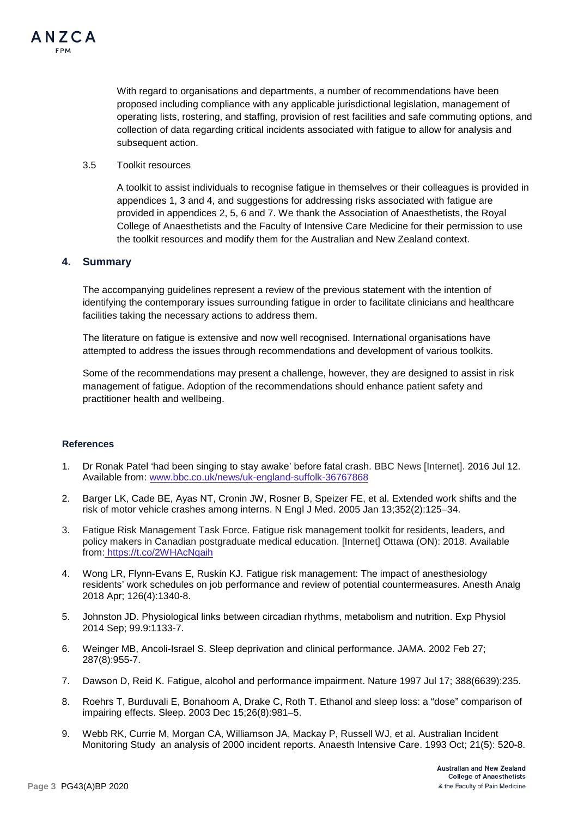

With regard to organisations and departments, a number of recommendations have been proposed including compliance with any applicable jurisdictional legislation, management of operating lists, rostering, and staffing, provision of rest facilities and safe commuting options, and collection of data regarding critical incidents associated with fatigue to allow for analysis and subsequent action.

3.5 Toolkit resources

A toolkit to assist individuals to recognise fatigue in themselves or their colleagues is provided in appendices 1, 3 and 4, and suggestions for addressing risks associated with fatigue are provided in appendices 2, 5, 6 and 7. We thank the Association of Anaesthetists, the Royal College of Anaesthetists and the Faculty of Intensive Care Medicine for their permission to use the toolkit resources and modify them for the Australian and New Zealand context.

#### **4. Summary**

The accompanying guidelines represent a review of the previous statement with the intention of identifying the contemporary issues surrounding fatigue in order to facilitate clinicians and healthcare facilities taking the necessary actions to address them.

The literature on fatigue is extensive and now well recognised. International organisations have attempted to address the issues through recommendations and development of various toolkits.

Some of the recommendations may present a challenge, however, they are designed to assist in risk management of fatigue. Adoption of the recommendations should enhance patient safety and practitioner health and wellbeing.

#### **References**

- 1. Dr Ronak Patel 'had been singing to stay awake' before fatal crash. BBC News [Internet]. 2016 Jul 12. Available from: [www.bbc.co.uk/news/uk-england-suffolk-36767868](http://www.bbc.co.uk/news/uk-england-suffolk-36767868)
- 2. Barger LK, Cade BE, Ayas NT, Cronin JW, Rosner B, Speizer FE, et al. Extended work shifts and the risk of motor vehicle crashes among interns. N Engl J Med. 2005 Jan 13;352(2):125–34.
- 3. Fatigue Risk Management Task Force. Fatigue risk management toolkit for residents, leaders, and policy makers in Canadian postgraduate medical education. [Internet] Ottawa (ON): 2018. Available from: <https://t.co/2WHAcNqaih>
- 4. Wong LR, Flynn-Evans E, Ruskin KJ. Fatigue risk management: The impact of anesthesiology residents' work schedules on job performance and review of potential countermeasures. Anesth Analg 2018 Apr; 126(4):1340-8.
- 5. Johnston JD. Physiological links between circadian rhythms, metabolism and nutrition. Exp Physiol 2014 Sep; 99.9:1133-7.
- 6. Weinger MB, Ancoli-Israel S. Sleep deprivation and clinical performance. JAMA. 2002 Feb 27; 287(8):955-7.
- 7. Dawson D, Reid K. Fatigue, alcohol and performance impairment. Nature 1997 Jul 17; 388(6639):235.
- 8. Roehrs T, Burduvali E, Bonahoom A, Drake C, Roth T. Ethanol and sleep loss: a "dose" comparison of impairing effects. Sleep. 2003 Dec 15;26(8):981–5.
- 9. Webb RK, [Currie M,](https://www.ncbi.nlm.nih.gov/pubmed/?term=Currie%20M%5BAuthor%5D&cauthor=true&cauthor_uid=8273871) [Morgan CA,](https://www.ncbi.nlm.nih.gov/pubmed/?term=Morgan%20CA%5BAuthor%5D&cauthor=true&cauthor_uid=8273871) [Williamson JA,](https://www.ncbi.nlm.nih.gov/pubmed/?term=Williamson%20JA%5BAuthor%5D&cauthor=true&cauthor_uid=8273871) [Mackay P,](https://www.ncbi.nlm.nih.gov/pubmed/?term=Mackay%20P%5BAuthor%5D&cauthor=true&cauthor_uid=8273871) [Russell WJ,](https://www.ncbi.nlm.nih.gov/pubmed/?term=Russell%20WJ%5BAuthor%5D&cauthor=true&cauthor_uid=8273871) et al. Australian Incident Monitoring Study an analysis of 2000 incident reports. Anaesth Intensive Care. 1993 Oct; 21(5): 520-8.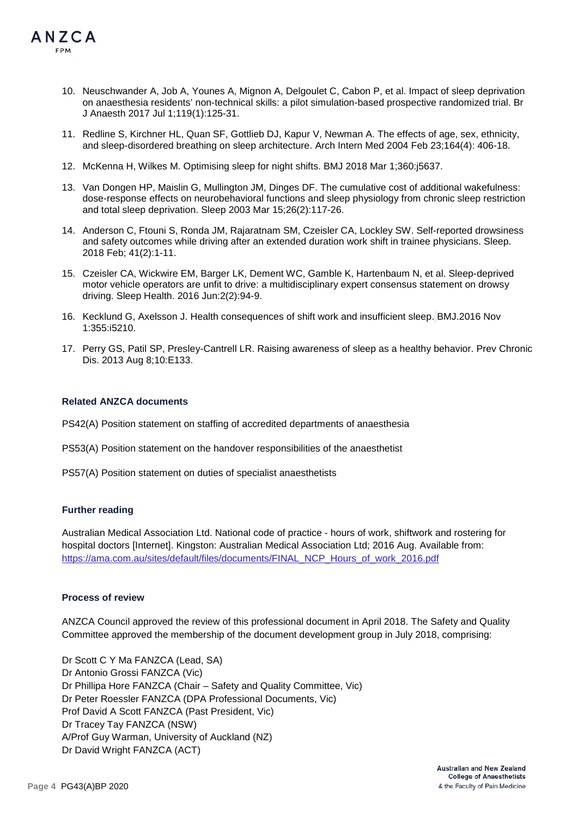

- 10. Neuschwander A, Job A, Younes A, Mignon A, Delgoulet C, Cabon P, et al. Impact of sleep deprivation on anaesthesia residents' non-technical skills: a pilot simulation-based prospective randomized trial. Br J Anaesth 2017 Jul 1;119(1):125-31.
- 11. Redline S, Kirchner HL, Quan SF, Gottlieb DJ, Kapur V, Newman A. The effects of age, sex, ethnicity, and sleep-disordered breathing on sleep architecture. Arch Intern Med 2004 Feb 23;164(4): 406-18.
- 12. McKenna H, Wilkes M. Optimising sleep for night shifts. BMJ 2018 Mar 1;360:j5637.
- 13. Van Dongen HP, Maislin G, Mullington JM, Dinges DF. The cumulative cost of additional wakefulness: dose-response effects on neurobehavioral functions and sleep physiology from chronic sleep restriction and total sleep deprivation. Sleep 2003 Mar 15;26(2):117-26.
- 14. Anderson C, Ftouni S, Ronda JM, Rajaratnam SM, Czeisler CA, Lockley SW. Self-reported drowsiness and safety outcomes while driving after an extended duration work shift in trainee physicians. Sleep. 2018 Feb; 41(2):1-11.
- 15. Czeisler CA, Wickwire EM, Barger LK, Dement WC, Gamble K, Hartenbaum N, et al. Sleep-deprived motor vehicle operators are unfit to drive: a multidisciplinary expert consensus statement on drowsy driving. Sleep Health. 2016 Jun:2(2):94-9.
- 16. Kecklund G, Axelsson J. Health consequences of shift work and insufficient sleep. BMJ.2016 Nov 1:355:i5210.
- 17. Perry GS, Patil SP, Presley-Cantrell LR. Raising awareness of sleep as a healthy behavior. Prev Chronic Dis. 2013 Aug 8;10:E133.

#### **Related ANZCA documents**

- PS42(A) Position statement on staffing of accredited departments of anaesthesia
- PS53(A) Position statement on the handover responsibilities of the anaesthetist
- PS57(A) Position statement on duties of specialist anaesthetists

#### **Further reading**

Australian Medical Association Ltd. National code of practice - hours of work, shiftwork and rostering for hospital doctors [Internet]. Kingston: Australian Medical Association Ltd; 2016 Aug. Available from: [https://ama.com.au/sites/default/files/documents/FINAL\\_NCP\\_Hours\\_of\\_work\\_2016.pdf](https://ama.com.au/sites/default/files/documents/FINAL_NCP_Hours_of_work_2016.pdf)

#### **Process of review**

ANZCA Council approved the review of this professional document in April 2018. The Safety and Quality Committee approved the membership of the document development group in July 2018, comprising:

Dr Scott C Y Ma FANZCA (Lead, SA) Dr Antonio Grossi FANZCA (Vic) Dr Phillipa Hore FANZCA (Chair – Safety and Quality Committee, Vic) Dr Peter Roessler FANZCA (DPA Professional Documents, Vic) Prof David A Scott FANZCA (Past President, Vic) Dr Tracey Tay FANZCA (NSW) A/Prof Guy Warman, University of Auckland (NZ) Dr David Wright FANZCA (ACT)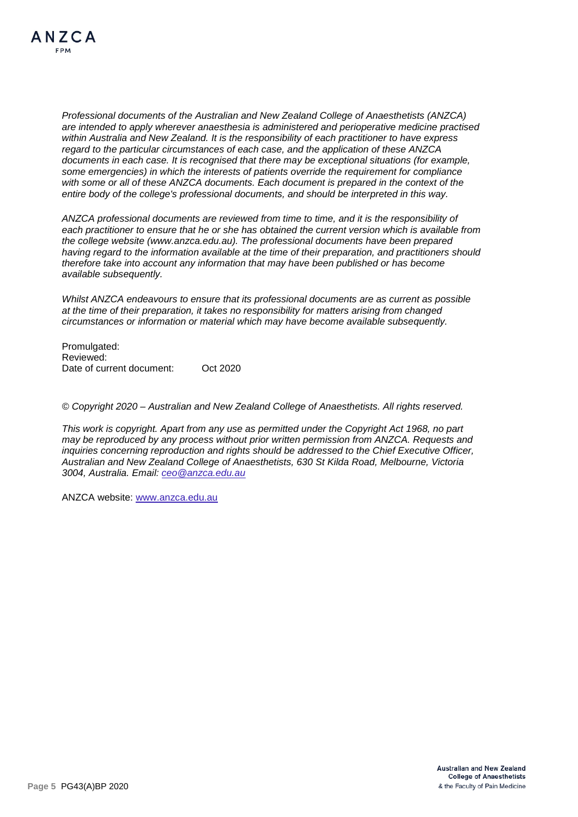*Professional documents of the Australian and New Zealand College of Anaesthetists (ANZCA) are intended to apply wherever anaesthesia is administered and perioperative medicine practised within Australia and New Zealand. It is the responsibility of each practitioner to have express regard to the particular circumstances of each case, and the application of these ANZCA documents in each case. It is recognised that there may be exceptional situations (for example, some emergencies) in which the interests of patients override the requirement for compliance with some or all of these ANZCA documents. Each document is prepared in the context of the entire body of the college's professional documents, and should be interpreted in this way.*

*ANZCA professional documents are reviewed from time to time, and it is the responsibility of each practitioner to ensure that he or she has obtained the current version which is available from the college website [\(www.anzca.edu.au\)](http://www.anzca.edu.au/). The professional documents have been prepared having regard to the information available at the time of their preparation, and practitioners should therefore take into account any information that may have been published or has become available subsequently.*

*Whilst ANZCA endeavours to ensure that its professional documents are as current as possible at the time of their preparation, it takes no responsibility for matters arising from changed circumstances or information or material which may have become available subsequently.*

Promulgated: Reviewed: Date of current document: Oct 2020

*© Copyright 2020 – Australian and New Zealand College of Anaesthetists. All rights reserved.*

*This work is copyright. Apart from any use as permitted under the Copyright Act 1968, no part may be reproduced by any process without prior written permission from ANZCA. Requests and inquiries concerning reproduction and rights should be addressed to the Chief Executive Officer, Australian and New Zealand College of Anaesthetists, 630 St Kilda Road, Melbourne, Victoria 3004, Australia. Email: [ceo@anzca.edu.au](mailto:ceo@anzca.edu.au)*

ANZCA website: [www.anzca.edu.au](http://www.anzca.edu.au/)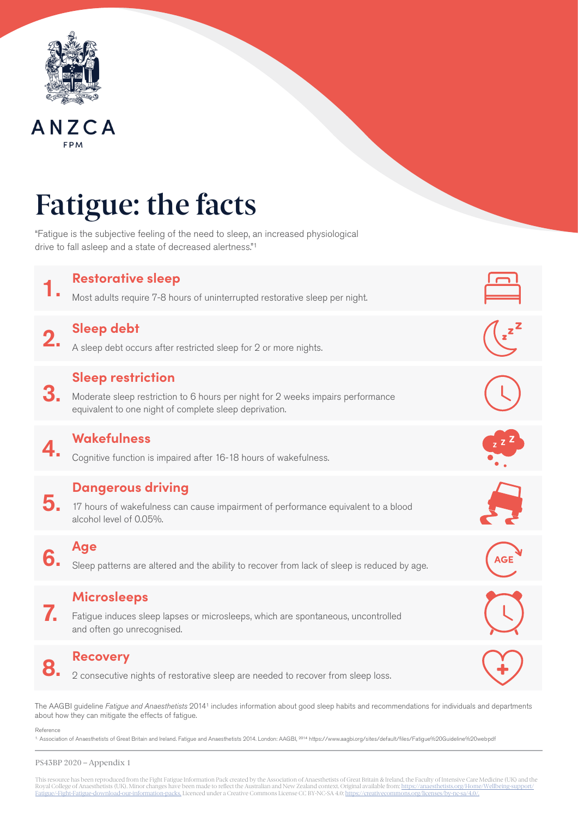

# ANZCA

# Fatigue: the facts

"Fatigue is the subjective feeling of the need to sleep, an increased physiological drive to fall asleep and a state of decreased alertness."1



The AAGBI guideline *Fatigue and Anaesthetists* 20141 includes information about good sleep habits and recommendations for individuals and departments about how they can mitigate the effects of fatigue.

Reference

<sup>1.</sup> Association of Anaesthetists of Great Britain and Ireland. Fatigue and Anaesthetists 2014. London: AAGBI, <sup>2014</sup> https://www.aagbi.org/sites/default/files/Fatigue%20Guideline%20web.pdf

#### PS43BP 2020 – Appendix 1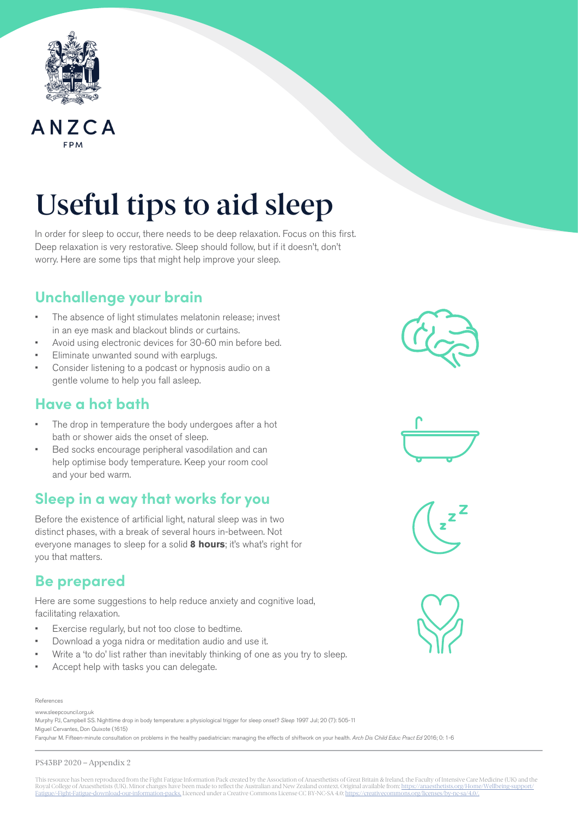



# Useful tips to aid sleep

In order for sleep to occur, there needs to be deep relaxation. Focus on this first. Deep relaxation is very restorative. Sleep should follow, but if it doesn't, don't worry. Here are some tips that might help improve your sleep.

# **Unchallenge your brain**

- The absence of light stimulates melatonin release; invest in an eye mask and blackout blinds or curtains.
- Avoid using electronic devices for 30-60 min before bed.
- Eliminate unwanted sound with earplugs.
- Consider listening to a podcast or hypnosis audio on a gentle volume to help you fall asleep.

### **Have a hot bath**

- The drop in temperature the body undergoes after a hot bath or shower aids the onset of sleep.
- Bed socks encourage peripheral vasodilation and can help optimise body temperature. Keep your room cool and your bed warm.

## **Sleep in a way that works for you**

Before the existence of artificial light, natural sleep was in two distinct phases, with a break of several hours in-between. Not everyone manages to sleep for a solid **8 hours**; it's what's right for you that matters.

## **Be prepared**

Here are some suggestions to help reduce anxiety and cognitive load, facilitating relaxation.

- Exercise regularly, but not too close to bedtime.
- Download a yoga nidra or meditation audio and use it.
- Write a 'to do' list rather than inevitably thinking of one as you try to sleep.
- Accept help with tasks you can delegate.

#### References

www.sleepcouncil.org.uk Murphy PJ, Campbell SS. Nighttime drop in body temperature: a physiological trigger for sleep onset? *Sleep* 1997 Jul; 20 (7): 505-11 Miguel Cervantes, Don Quixote (1615)

Farquhar M. Fifteen-minute consultation on problems in the healthy paediatrician: managing the effects of shiftwork on your health. *Arch Dis Child Educ Pract Ed* 2016; 0: 1-6

#### PS43BP 2020 – Appendix 2







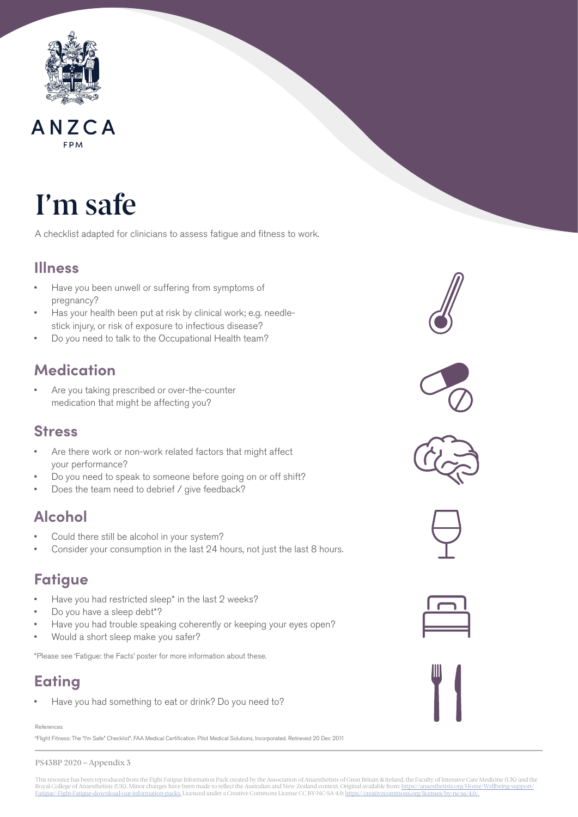

# ANZCA

# I'm safe

A checklist adapted for clinicians to assess fatigue and fitness to work.

### **Illness**

- Have you been unwell or suffering from symptoms of pregnancy?
- Has your health been put at risk by clinical work; e.g. needlestick injury, or risk of exposure to infectious disease?
- Do you need to talk to the Occupational Health team?

# **Medication**

Are you taking prescribed or over-the-counter medication that might be affecting you?

### **Stress**

- Are there work or non-work related factors that might affect your performance?
- Do you need to speak to someone before going on or off shift?
- Does the team need to debrief / give feedback?

# **Alcohol**

- Could there still be alcohol in your system?
- Consider your consumption in the last 24 hours, not just the last 8 hours.

### **Fatigue**

- Have you had restricted sleep\* in the last 2 weeks?
- Do you have a sleep debt\*?
- Have you had trouble speaking coherently or keeping your eyes open?
- Would a short sleep make you safer?

\*Please see 'Fatigue: the Facts' poster for more information about these.

# **Eating**

Have you had something to eat or drink? Do you need to?

References

"Flight Fitness: The "I'm Safe" Checklist". FAA Medical Certification. Pilot Medical Solutions, Incorporated. Retrieved 20 Dec 2011













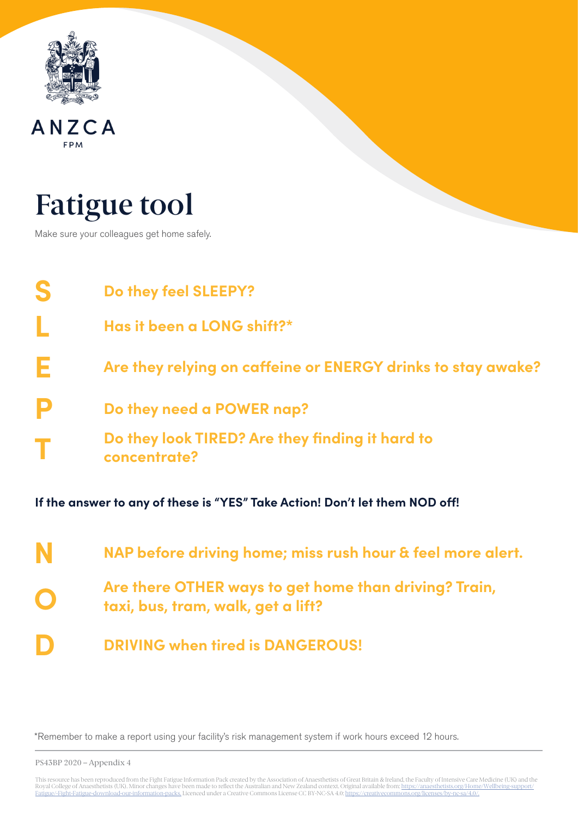

### ANZCA FPM

# Fatigue tool

Make sure your colleagues get home safely.

| S                                                                           | Do they feel SLEEPY?                                            |  |  |
|-----------------------------------------------------------------------------|-----------------------------------------------------------------|--|--|
|                                                                             | Has it been a LONG shift?*                                      |  |  |
| Е                                                                           | Are they relying on caffeine or ENERGY drinks to stay awake?    |  |  |
|                                                                             | Do they need a POWER nap?                                       |  |  |
|                                                                             | Do they look TIRED? Are they finding it hard to<br>concentrate? |  |  |
| If the answer to any of these is "YES" Take Action! Don't let them NOD off! |                                                                 |  |  |

| N | NAP before driving home; miss rush hour & feel more alert.                                  |
|---|---------------------------------------------------------------------------------------------|
|   | Are there OTHER ways to get home than driving? Train,<br>taxi, bus, tram, walk, get a lift? |
| D | <b>DRIVING when tired is DANGEROUS!</b>                                                     |

\*Remember to make a report using your facility's risk management system if work hours exceed 12 hours.

PS43BP 2020 – Appendix 4

This resource has been reproduced from the Fight Fatigue Information Pack created by the Association of Anaesthetists of Great Britain & Ireland, the Faculty of Intensive Care Medicine (UK) and the<br>Royal College of Anaesth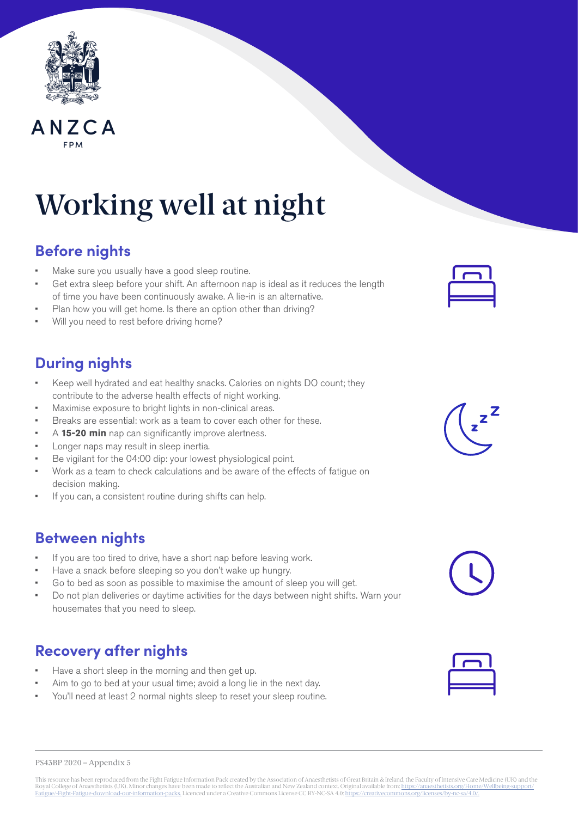

# ANZCA

# Working well at night

# **Before nights**

- Make sure you usually have a good sleep routine.
- Get extra sleep before your shift. An afternoon nap is ideal as it reduces the length of time you have been continuously awake. A lie-in is an alternative.
- Plan how you will get home. Is there an option other than driving?
- Will you need to rest before driving home?

## **During nights**

- Keep well hydrated and eat healthy snacks. Calories on nights DO count; they contribute to the adverse health effects of night working.
- Maximise exposure to bright lights in non-clinical areas.
- Breaks are essential: work as a team to cover each other for these.
- A **15-20 min** nap can significantly improve alertness.
- Longer naps may result in sleep inertia.
- Be vigilant for the 04:00 dip: your lowest physiological point.
- Work as a team to check calculations and be aware of the effects of fatigue on decision making.
- If you can, a consistent routine during shifts can help.

### **Between nights**

- If you are too tired to drive, have a short nap before leaving work.
- Have a snack before sleeping so you don't wake up hungry.
- Go to bed as soon as possible to maximise the amount of sleep you will get.
- Do not plan deliveries or daytime activities for the days between night shifts. Warn your housemates that you need to sleep.

# **Recovery after nights**

- Have a short sleep in the morning and then get up.
- Aim to go to bed at your usual time; avoid a long lie in the next day.
- You'll need at least 2 normal nights sleep to reset your sleep routine.







PS43BP 2020 – Appendix 5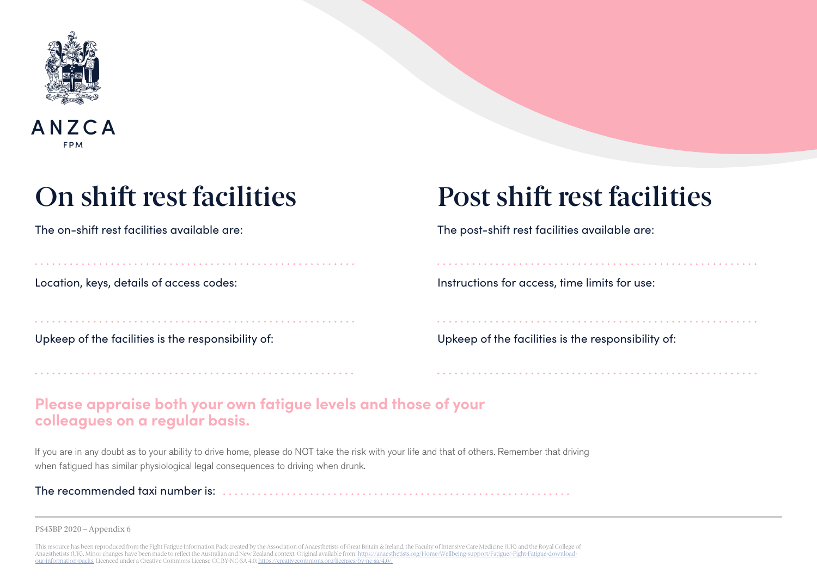

### ANZCA **FPM**

Upkeep of the facilities is the responsibility of:<br>Upkeep of the facilities is the responsibility of:

# On shift rest facilities Post shift rest facilities

The on-shift rest facilities available are: The post-shift rest facilities available are:

Location, keys, details of access codes: Instructions for access, time limits for use:

### **Please appraise both your own fatigue levels and those of your colleagues on a regular basis.**

If you are in any doubt as to your ability to drive home, please do NOT take the risk with your life and that of others. Remember that driving when fatigued has similar physiological legal consequences to driving when drunk.

The recommended taxi number is:

PS43BP 2020 – Appendix 6

This resource has been reproduced from the Fight Fatigue Information Pack created by the Association of Anaesthetists of Great Britain & Ireland, the Faculty of Intensive Care Medicine (UK) and the Royal College of Anaesthetists (UK). Minor changes have been made to reflect the Australian and New Zealand context. Original available from: https://anae [our-information-packs.](https://anaesthetists.org/Home/Wellbeing-support/Fatigue/-Fight-Fatigue-download-our-information-packs) Licenced under a Creative Commons License CC BY-NC-SA 4.0: [https://creativecommons.org/licenses/by-nc-sa/4.0/.](https://creativecommons.org/licenses/by-nc-sa/4.0/)